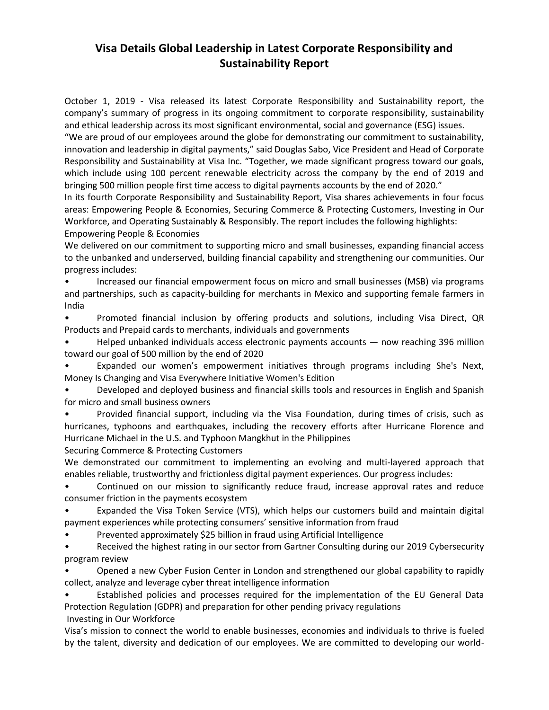## **Visa Details Global Leadership in Latest Corporate Responsibility and Sustainability Report**

October 1, 2019 - Visa released its latest Corporate Responsibility and Sustainability report, the company's summary of progress in its ongoing commitment to corporate responsibility, sustainability and ethical leadership across its most significant environmental, social and governance (ESG) issues.

"We are proud of our employees around the globe for demonstrating our commitment to sustainability, innovation and leadership in digital payments," said Douglas Sabo, Vice President and Head of Corporate Responsibility and Sustainability at Visa Inc. "Together, we made significant progress toward our goals, which include using 100 percent renewable electricity across the company by the end of 2019 and bringing 500 million people first time access to digital payments accounts by the end of 2020."

In its fourth Corporate Responsibility and Sustainability Report, Visa shares achievements in four focus areas: Empowering People & Economies, Securing Commerce & Protecting Customers, Investing in Our Workforce, and Operating Sustainably & Responsibly. The report includes the following highlights: Empowering People & Economies

We delivered on our commitment to supporting micro and small businesses, expanding financial access to the unbanked and underserved, building financial capability and strengthening our communities. Our progress includes:

• Increased our financial empowerment focus on micro and small businesses (MSB) via programs and partnerships, such as capacity-building for merchants in Mexico and supporting female farmers in India

• Promoted financial inclusion by offering products and solutions, including Visa Direct, QR Products and Prepaid cards to merchants, individuals and governments

• Helped unbanked individuals access electronic payments accounts — now reaching 396 million toward our goal of 500 million by the end of 2020

• Expanded our women's empowerment initiatives through programs including She's Next, Money Is Changing and Visa Everywhere Initiative Women's Edition

• Developed and deployed business and financial skills tools and resources in English and Spanish for micro and small business owners

• Provided financial support, including via the Visa Foundation, during times of crisis, such as hurricanes, typhoons and earthquakes, including the recovery efforts after Hurricane Florence and Hurricane Michael in the U.S. and Typhoon Mangkhut in the Philippines

Securing Commerce & Protecting Customers

We demonstrated our commitment to implementing an evolving and multi-layered approach that enables reliable, trustworthy and frictionless digital payment experiences. Our progress includes:

• Continued on our mission to significantly reduce fraud, increase approval rates and reduce consumer friction in the payments ecosystem

• Expanded the Visa Token Service (VTS), which helps our customers build and maintain digital payment experiences while protecting consumers' sensitive information from fraud

• Prevented approximately \$25 billion in fraud using Artificial Intelligence

• Received the highest rating in our sector from Gartner Consulting during our 2019 Cybersecurity program review

• Opened a new Cyber Fusion Center in London and strengthened our global capability to rapidly collect, analyze and leverage cyber threat intelligence information

• Established policies and processes required for the implementation of the EU General Data Protection Regulation (GDPR) and preparation for other pending privacy regulations Investing in Our Workforce

Visa's mission to connect the world to enable businesses, economies and individuals to thrive is fueled by the talent, diversity and dedication of our employees. We are committed to developing our world